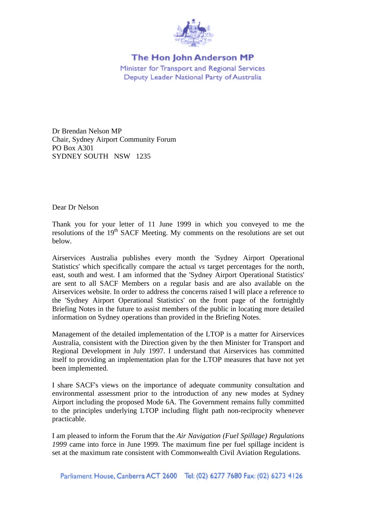

## The Hon John Anderson MP Minister for Transport and Regional Services Deputy Leader National Party of Australia

Dr Brendan Nelson MP Chair, Sydney Airport Community Forum PO Box A301 SYDNEY SOUTH NSW 1235

Dear Dr Nelson

Thank you for your letter of 11 June 1999 in which you conveyed to me the resolutions of the 19<sup>th</sup> SACF Meeting. My comments on the resolutions are set out below.

Airservices Australia publishes every month the 'Sydney Airport Operational Statistics' which specifically compare the actual *vs* target percentages for the north, east, south and west. I am informed that the 'Sydney Airport Operational Statistics' are sent to all SACF Members on a regular basis and are also available on the Airservices website. In order to address the concerns raised I will place a reference to the 'Sydney Airport Operational Statistics' on the front page of the fortnightly Briefing Notes in the future to assist members of the public in locating more detailed information on Sydney operations than provided in the Briefing Notes.

Management of the detailed implementation of the LTOP is a matter for Airservices Australia, consistent with the Direction given by the then Minister for Transport and Regional Development in July 1997. I understand that Airservices has committed itself to providing an implementation plan for the LTOP measures that have not yet been implemented.

I share SACF's views on the importance of adequate community consultation and environmental assessment prior to the introduction of any new modes at Sydney Airport including the proposed Mode 6A. The Government remains fully committed to the principles underlying LTOP including flight path non-reciprocity whenever practicable.

I am pleased to inform the Forum that the *Air Navigation (Fuel Spillage) Regulations 1999* came into force in June 1999. The maximum fine per fuel spillage incident is set at the maximum rate consistent with Commonwealth Civil Aviation Regulations.